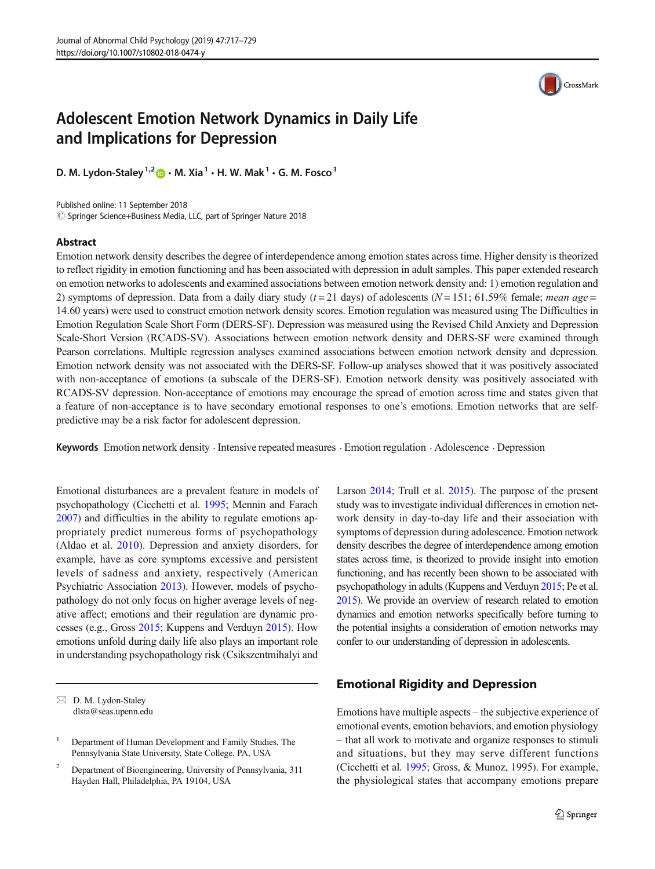

# Adolescent Emotion Network Dynamics in Daily Life and Implications for Depression

D. M. Lydon-Staley<sup>1,2</sup>  $\bullet$  · M. Xia<sup>1</sup> · H. W. Mak<sup>1</sup> · G. M. Fosco<sup>1</sup>

Published online: 11 September 2018  $\circled{c}$  Springer Science+Business Media, LLC, part of Springer Nature 2018

#### Abstract

Emotion network density describes the degree of interdependence among emotion states across time. Higher density is theorized to reflect rigidity in emotion functioning and has been associated with depression in adult samples. This paper extended research on emotion networks to adolescents and examined associations between emotion network density and: 1) emotion regulation and 2) symptoms of depression. Data from a daily diary study ( $t = 21$  days) of adolescents ( $N = 151$ ; 61.59% female; *mean age* = 14.60 years) were used to construct emotion network density scores. Emotion regulation was measured using The Difficulties in Emotion Regulation Scale Short Form (DERS-SF). Depression was measured using the Revised Child Anxiety and Depression Scale-Short Version (RCADS-SV). Associations between emotion network density and DERS-SF were examined through Pearson correlations. Multiple regression analyses examined associations between emotion network density and depression. Emotion network density was not associated with the DERS-SF. Follow-up analyses showed that it was positively associated with non-acceptance of emotions (a subscale of the DERS-SF). Emotion network density was positively associated with RCADS-SV depression. Non-acceptance of emotions may encourage the spread of emotion across time and states given that a feature of non-acceptance is to have secondary emotional responses to one's emotions. Emotion networks that are selfpredictive may be a risk factor for adolescent depression.

Keywords Emotion network density . Intensive repeated measures . Emotion regulation . Adolescence . Depression

Emotional disturbances are a prevalent feature in models of psychopathology (Cicchetti et al. [1995](#page-11-0); Mennin and Farach [2007\)](#page-12-0) and difficulties in the ability to regulate emotions appropriately predict numerous forms of psychopathology (Aldao et al. [2010](#page-10-0)). Depression and anxiety disorders, for example, have as core symptoms excessive and persistent levels of sadness and anxiety, respectively (American Psychiatric Association [2013\)](#page-10-0). However, models of psychopathology do not only focus on higher average levels of negative affect; emotions and their regulation are dynamic processes (e.g., Gross [2015;](#page-11-0) Kuppens and Verduyn [2015](#page-11-0)). How emotions unfold during daily life also plays an important role in understanding psychopathology risk (Csikszentmihalyi and

 $\boxtimes$  D. M. Lydon-Staley [dlsta@seas.upenn.edu](mailto:dlsta@seas.upenn.edu) Larson [2014](#page-11-0); Trull et al. [2015](#page-12-0)). The purpose of the present study was to investigate individual differences in emotion network density in day-to-day life and their association with symptoms of depression during adolescence. Emotion network density describes the degree of interdependence among emotion states across time, is theorized to provide insight into emotion functioning, and has recently been shown to be associated with psychopathology in adults (Kuppens and Verduyn [2015;](#page-11-0) Pe et al. [2015\)](#page-12-0). We provide an overview of research related to emotion dynamics and emotion networks specifically before turning to the potential insights a consideration of emotion networks may confer to our understanding of depression in adolescents.

# Emotional Rigidity and Depression

Emotions have multiple aspects – the subjective experience of emotional events, emotion behaviors, and emotion physiology – that all work to motivate and organize responses to stimuli and situations, but they may serve different functions (Cicchetti et al. [1995](#page-11-0); Gross, & Munoz, 1995). For example, the physiological states that accompany emotions prepare

<sup>&</sup>lt;sup>1</sup> Department of Human Development and Family Studies, The Pennsylvania State University, State College, PA, USA

<sup>&</sup>lt;sup>2</sup> Department of Bioengineering, University of Pennsylvania, 311 Hayden Hall, Philadelphia, PA 19104, USA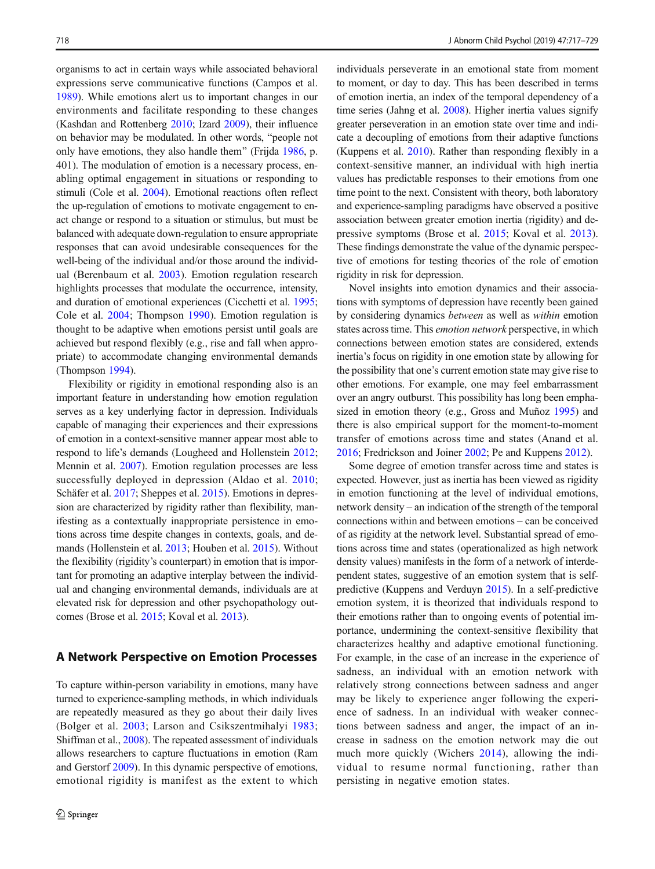organisms to act in certain ways while associated behavioral expressions serve communicative functions (Campos et al. [1989\)](#page-11-0). While emotions alert us to important changes in our environments and facilitate responding to these changes (Kashdan and Rottenberg [2010;](#page-11-0) Izard [2009](#page-11-0)), their influence on behavior may be modulated. In other words, "people not only have emotions, they also handle them" (Frijda [1986](#page-11-0), p. 401). The modulation of emotion is a necessary process, enabling optimal engagement in situations or responding to stimuli (Cole et al. [2004\)](#page-11-0). Emotional reactions often reflect the up-regulation of emotions to motivate engagement to enact change or respond to a situation or stimulus, but must be balanced with adequate down-regulation to ensure appropriate responses that can avoid undesirable consequences for the well-being of the individual and/or those around the individual (Berenbaum et al. [2003](#page-10-0)). Emotion regulation research highlights processes that modulate the occurrence, intensity, and duration of emotional experiences (Cicchetti et al. [1995](#page-11-0); Cole et al. [2004;](#page-11-0) Thompson [1990](#page-12-0)). Emotion regulation is thought to be adaptive when emotions persist until goals are achieved but respond flexibly (e.g., rise and fall when appropriate) to accommodate changing environmental demands (Thompson [1994](#page-12-0)).

Flexibility or rigidity in emotional responding also is an important feature in understanding how emotion regulation serves as a key underlying factor in depression. Individuals capable of managing their experiences and their expressions of emotion in a context-sensitive manner appear most able to respond to life's demands (Lougheed and Hollenstein [2012](#page-12-0); Mennin et al. [2007\)](#page-12-0). Emotion regulation processes are less successfully deployed in depression (Aldao et al. [2010](#page-10-0); Schäfer et al. [2017](#page-12-0); Sheppes et al. [2015](#page-12-0)). Emotions in depression are characterized by rigidity rather than flexibility, manifesting as a contextually inappropriate persistence in emotions across time despite changes in contexts, goals, and demands (Hollenstein et al. [2013;](#page-11-0) Houben et al. [2015\)](#page-11-0). Without the flexibility (rigidity's counterpart) in emotion that is important for promoting an adaptive interplay between the individual and changing environmental demands, individuals are at elevated risk for depression and other psychopathology outcomes (Brose et al. [2015;](#page-10-0) Koval et al. [2013\)](#page-11-0).

# A Network Perspective on Emotion Processes

To capture within-person variability in emotions, many have turned to experience-sampling methods, in which individuals are repeatedly measured as they go about their daily lives (Bolger et al. [2003](#page-10-0); Larson and Csikszentmihalyi [1983](#page-11-0); Shiffman et al., [2008](#page-12-0)). The repeated assessment of individuals allows researchers to capture fluctuations in emotion (Ram and Gerstorf [2009](#page-12-0)). In this dynamic perspective of emotions, emotional rigidity is manifest as the extent to which individuals perseverate in an emotional state from moment to moment, or day to day. This has been described in terms of emotion inertia, an index of the temporal dependency of a time series (Jahng et al. [2008\)](#page-11-0). Higher inertia values signify greater perseveration in an emotion state over time and indicate a decoupling of emotions from their adaptive functions (Kuppens et al. [2010](#page-11-0)). Rather than responding flexibly in a context-sensitive manner, an individual with high inertia values has predictable responses to their emotions from one time point to the next. Consistent with theory, both laboratory and experience-sampling paradigms have observed a positive association between greater emotion inertia (rigidity) and depressive symptoms (Brose et al. [2015](#page-10-0); Koval et al. [2013\)](#page-11-0). These findings demonstrate the value of the dynamic perspective of emotions for testing theories of the role of emotion rigidity in risk for depression.

Novel insights into emotion dynamics and their associations with symptoms of depression have recently been gained by considering dynamics between as well as within emotion states across time. This emotion network perspective, in which connections between emotion states are considered, extends inertia's focus on rigidity in one emotion state by allowing for the possibility that one's current emotion state may give rise to other emotions. For example, one may feel embarrassment over an angry outburst. This possibility has long been emphasized in emotion theory (e.g., Gross and Muñoz [1995](#page-11-0)) and there is also empirical support for the moment-to-moment transfer of emotions across time and states (Anand et al. [2016;](#page-10-0) Fredrickson and Joiner [2002](#page-11-0); Pe and Kuppens [2012\)](#page-12-0).

Some degree of emotion transfer across time and states is expected. However, just as inertia has been viewed as rigidity in emotion functioning at the level of individual emotions, network density – an indication of the strength of the temporal connections within and between emotions – can be conceived of as rigidity at the network level. Substantial spread of emotions across time and states (operationalized as high network density values) manifests in the form of a network of interdependent states, suggestive of an emotion system that is selfpredictive (Kuppens and Verduyn [2015\)](#page-11-0). In a self-predictive emotion system, it is theorized that individuals respond to their emotions rather than to ongoing events of potential importance, undermining the context-sensitive flexibility that characterizes healthy and adaptive emotional functioning. For example, in the case of an increase in the experience of sadness, an individual with an emotion network with relatively strong connections between sadness and anger may be likely to experience anger following the experience of sadness. In an individual with weaker connections between sadness and anger, the impact of an increase in sadness on the emotion network may die out much more quickly (Wichers [2014\)](#page-12-0), allowing the individual to resume normal functioning, rather than persisting in negative emotion states.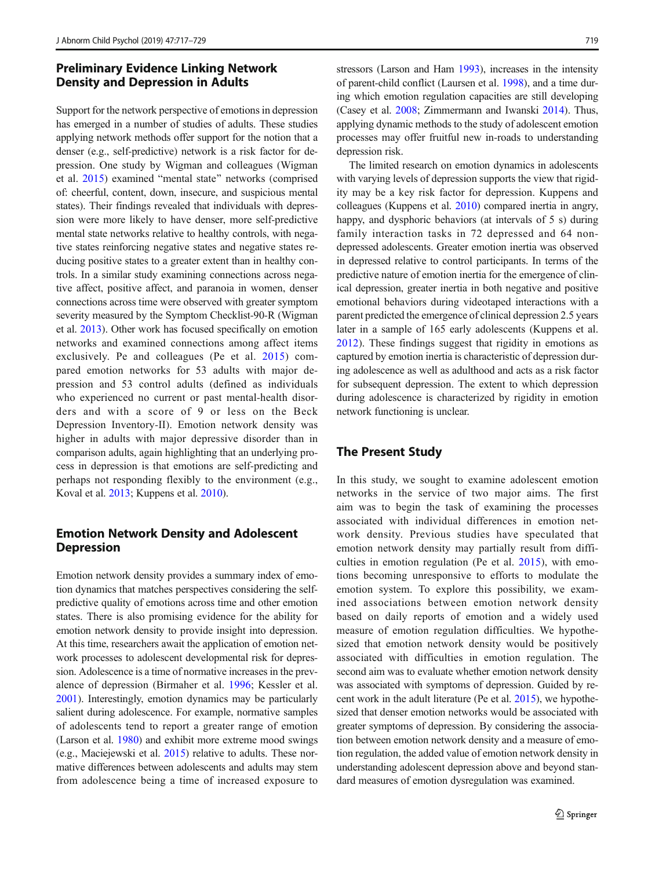# Preliminary Evidence Linking Network Density and Depression in Adults

Support for the network perspective of emotions in depression has emerged in a number of studies of adults. These studies applying network methods offer support for the notion that a denser (e.g., self-predictive) network is a risk factor for depression. One study by Wigman and colleagues (Wigman et al. [2015\)](#page-12-0) examined "mental state" networks (comprised of: cheerful, content, down, insecure, and suspicious mental states). Their findings revealed that individuals with depression were more likely to have denser, more self-predictive mental state networks relative to healthy controls, with negative states reinforcing negative states and negative states reducing positive states to a greater extent than in healthy controls. In a similar study examining connections across negative affect, positive affect, and paranoia in women, denser connections across time were observed with greater symptom severity measured by the Symptom Checklist-90-R (Wigman et al. [2013\)](#page-12-0). Other work has focused specifically on emotion networks and examined connections among affect items exclusively. Pe and colleagues (Pe et al. [2015](#page-12-0)) compared emotion networks for 53 adults with major depression and 53 control adults (defined as individuals who experienced no current or past mental-health disorders and with a score of 9 or less on the Beck Depression Inventory-II). Emotion network density was higher in adults with major depressive disorder than in comparison adults, again highlighting that an underlying process in depression is that emotions are self-predicting and perhaps not responding flexibly to the environment (e.g., Koval et al. [2013;](#page-11-0) Kuppens et al. [2010](#page-11-0)).

# Emotion Network Density and Adolescent Depression

Emotion network density provides a summary index of emotion dynamics that matches perspectives considering the selfpredictive quality of emotions across time and other emotion states. There is also promising evidence for the ability for emotion network density to provide insight into depression. At this time, researchers await the application of emotion network processes to adolescent developmental risk for depression. Adolescence is a time of normative increases in the prevalence of depression (Birmaher et al. [1996](#page-10-0); Kessler et al. [2001\)](#page-11-0). Interestingly, emotion dynamics may be particularly salient during adolescence. For example, normative samples of adolescents tend to report a greater range of emotion (Larson et al. [1980](#page-12-0)) and exhibit more extreme mood swings (e.g., Maciejewski et al. [2015\)](#page-12-0) relative to adults. These normative differences between adolescents and adults may stem from adolescence being a time of increased exposure to

stressors (Larson and Ham [1993](#page-12-0)), increases in the intensity of parent-child conflict (Laursen et al. [1998](#page-12-0)), and a time during which emotion regulation capacities are still developing (Casey et al. [2008](#page-11-0); Zimmermann and Iwanski [2014](#page-12-0)). Thus, applying dynamic methods to the study of adolescent emotion processes may offer fruitful new in-roads to understanding depression risk.

The limited research on emotion dynamics in adolescents with varying levels of depression supports the view that rigidity may be a key risk factor for depression. Kuppens and colleagues (Kuppens et al. [2010\)](#page-11-0) compared inertia in angry, happy, and dysphoric behaviors (at intervals of 5 s) during family interaction tasks in 72 depressed and 64 nondepressed adolescents. Greater emotion inertia was observed in depressed relative to control participants. In terms of the predictive nature of emotion inertia for the emergence of clinical depression, greater inertia in both negative and positive emotional behaviors during videotaped interactions with a parent predicted the emergence of clinical depression 2.5 years later in a sample of 165 early adolescents (Kuppens et al. [2012](#page-11-0)). These findings suggest that rigidity in emotions as captured by emotion inertia is characteristic of depression during adolescence as well as adulthood and acts as a risk factor for subsequent depression. The extent to which depression during adolescence is characterized by rigidity in emotion network functioning is unclear.

# The Present Study

In this study, we sought to examine adolescent emotion networks in the service of two major aims. The first aim was to begin the task of examining the processes associated with individual differences in emotion network density. Previous studies have speculated that emotion network density may partially result from difficulties in emotion regulation (Pe et al. [2015](#page-12-0)), with emotions becoming unresponsive to efforts to modulate the emotion system. To explore this possibility, we examined associations between emotion network density based on daily reports of emotion and a widely used measure of emotion regulation difficulties. We hypothesized that emotion network density would be positively associated with difficulties in emotion regulation. The second aim was to evaluate whether emotion network density was associated with symptoms of depression. Guided by recent work in the adult literature (Pe et al. [2015\)](#page-12-0), we hypothesized that denser emotion networks would be associated with greater symptoms of depression. By considering the association between emotion network density and a measure of emotion regulation, the added value of emotion network density in understanding adolescent depression above and beyond standard measures of emotion dysregulation was examined.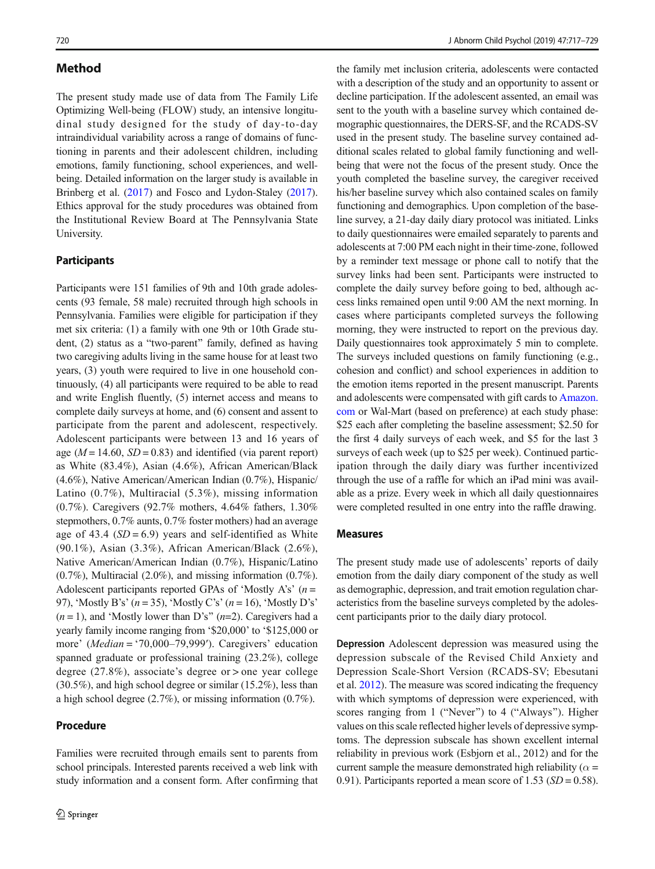# Method

The present study made use of data from The Family Life Optimizing Well-being (FLOW) study, an intensive longitudinal study designed for the study of day-to-day intraindividual variability across a range of domains of functioning in parents and their adolescent children, including emotions, family functioning, school experiences, and wellbeing. Detailed information on the larger study is available in Brinberg et al. ([2017](#page-10-0)) and Fosco and Lydon-Staley ([2017\)](#page-11-0). Ethics approval for the study procedures was obtained from the Institutional Review Board at The Pennsylvania State University.

## **Participants**

Participants were 151 families of 9th and 10th grade adolescents (93 female, 58 male) recruited through high schools in Pennsylvania. Families were eligible for participation if they met six criteria: (1) a family with one 9th or 10th Grade student, (2) status as a "two-parent" family, defined as having two caregiving adults living in the same house for at least two years, (3) youth were required to live in one household continuously, (4) all participants were required to be able to read and write English fluently, (5) internet access and means to complete daily surveys at home, and (6) consent and assent to participate from the parent and adolescent, respectively. Adolescent participants were between 13 and 16 years of age ( $M = 14.60$ ,  $SD = 0.83$ ) and identified (via parent report) as White (83.4%), Asian (4.6%), African American/Black (4.6%), Native American/American Indian (0.7%), Hispanic/ Latino (0.7%), Multiracial (5.3%), missing information (0.7%). Caregivers (92.7% mothers, 4.64% fathers, 1.30% stepmothers, 0.7% aunts, 0.7% foster mothers) had an average age of 43.4 ( $SD = 6.9$ ) years and self-identified as White (90.1%), Asian (3.3%), African American/Black (2.6%), Native American/American Indian (0.7%), Hispanic/Latino  $(0.7\%)$ , Multiracial  $(2.0\%)$ , and missing information  $(0.7\%)$ . Adolescent participants reported GPAs of 'Mostly A's'  $(n =$ 97), 'Mostly B's'  $(n = 35)$ , 'Mostly C's'  $(n = 16)$ , 'Mostly D's'  $(n = 1)$ , and 'Mostly lower than D's"  $(n=2)$ . Caregivers had a yearly family income ranging from '\$20,000' to '\$125,000 or more' (Median = '70,000–79,999′). Caregivers' education spanned graduate or professional training (23.2%), college degree (27.8%), associate's degree or > one year college (30.5%), and high school degree or similar (15.2%), less than a high school degree (2.7%), or missing information (0.7%).

## Procedure

Families were recruited through emails sent to parents from school principals. Interested parents received a web link with study information and a consent form. After confirming that

the family met inclusion criteria, adolescents were contacted with a description of the study and an opportunity to assent or decline participation. If the adolescent assented, an email was sent to the youth with a baseline survey which contained demographic questionnaires, the DERS-SF, and the RCADS-SV used in the present study. The baseline survey contained additional scales related to global family functioning and wellbeing that were not the focus of the present study. Once the youth completed the baseline survey, the caregiver received his/her baseline survey which also contained scales on family functioning and demographics. Upon completion of the baseline survey, a 21-day daily diary protocol was initiated. Links to daily questionnaires were emailed separately to parents and adolescents at 7:00 PM each night in their time-zone, followed by a reminder text message or phone call to notify that the survey links had been sent. Participants were instructed to complete the daily survey before going to bed, although access links remained open until 9:00 AM the next morning. In cases where participants completed surveys the following morning, they were instructed to report on the previous day. Daily questionnaires took approximately 5 min to complete. The surveys included questions on family functioning (e.g., cohesion and conflict) and school experiences in addition to the emotion items reported in the present manuscript. Parents and adolescents were compensated with gift cards to [Amazon.](http://amazon.com) [com](http://amazon.com) or Wal-Mart (based on preference) at each study phase: \$25 each after completing the baseline assessment; \$2.50 for the first 4 daily surveys of each week, and \$5 for the last 3 surveys of each week (up to \$25 per week). Continued participation through the daily diary was further incentivized through the use of a raffle for which an iPad mini was available as a prize. Every week in which all daily questionnaires were completed resulted in one entry into the raffle drawing.

#### Measures

The present study made use of adolescents' reports of daily emotion from the daily diary component of the study as well as demographic, depression, and trait emotion regulation characteristics from the baseline surveys completed by the adolescent participants prior to the daily diary protocol.

Depression Adolescent depression was measured using the depression subscale of the Revised Child Anxiety and Depression Scale-Short Version (RCADS-SV; Ebesutani et al. [2012](#page-11-0)). The measure was scored indicating the frequency with which symptoms of depression were experienced, with scores ranging from 1 ("Never") to 4 ("Always"). Higher values on this scale reflected higher levels of depressive symptoms. The depression subscale has shown excellent internal reliability in previous work (Esbjorn et al., 2012) and for the current sample the measure demonstrated high reliability ( $\alpha$  = 0.91). Participants reported a mean score of 1.53 ( $SD = 0.58$ ).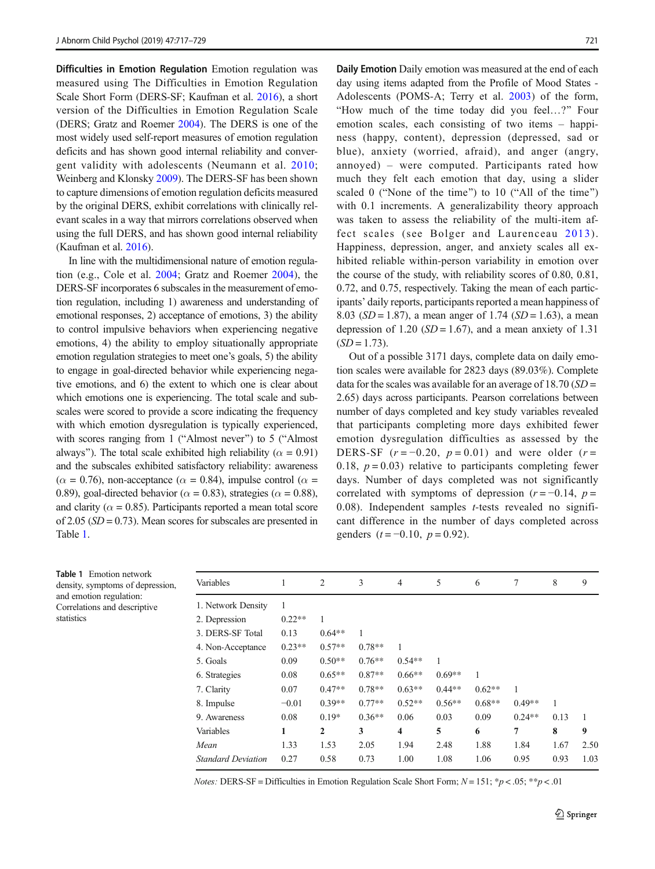<span id="page-4-0"></span>Difficulties in Emotion Regulation Emotion regulation was measured using The Difficulties in Emotion Regulation Scale Short Form (DERS-SF; Kaufman et al. [2016](#page-11-0)), a short version of the Difficulties in Emotion Regulation Scale (DERS; Gratz and Roemer [2004\)](#page-11-0). The DERS is one of the most widely used self-report measures of emotion regulation deficits and has shown good internal reliability and convergent validity with adolescents (Neumann et al. [2010](#page-12-0); Weinberg and Klonsky [2009\)](#page-12-0). The DERS-SF has been shown to capture dimensions of emotion regulation deficits measured by the original DERS, exhibit correlations with clinically relevant scales in a way that mirrors correlations observed when using the full DERS, and has shown good internal reliability (Kaufman et al. [2016](#page-11-0)).

In line with the multidimensional nature of emotion regulation (e.g., Cole et al. [2004;](#page-11-0) Gratz and Roemer [2004](#page-11-0)), the DERS-SF incorporates 6 subscales in the measurement of emotion regulation, including 1) awareness and understanding of emotional responses, 2) acceptance of emotions, 3) the ability to control impulsive behaviors when experiencing negative emotions, 4) the ability to employ situationally appropriate emotion regulation strategies to meet one's goals, 5) the ability to engage in goal-directed behavior while experiencing negative emotions, and 6) the extent to which one is clear about which emotions one is experiencing. The total scale and subscales were scored to provide a score indicating the frequency with which emotion dysregulation is typically experienced, with scores ranging from 1 ("Almost never") to 5 ("Almost always"). The total scale exhibited high reliability ( $\alpha = 0.91$ ) and the subscales exhibited satisfactory reliability: awareness  $(\alpha = 0.76)$ , non-acceptance ( $\alpha = 0.84$ ), impulse control ( $\alpha =$ 0.89), goal-directed behavior ( $\alpha$  = 0.83), strategies ( $\alpha$  = 0.88), and clarity ( $\alpha$  = 0.85). Participants reported a mean total score of  $2.05$  ( $SD = 0.73$ ). Mean scores for subscales are presented in Table 1.

Daily Emotion Daily emotion was measured at the end of each day using items adapted from the Profile of Mood States - Adolescents (POMS-A; Terry et al. [2003](#page-12-0)) of the form, "How much of the time today did you feel...?" Four emotion scales, each consisting of two items – happiness (happy, content), depression (depressed, sad or blue), anxiety (worried, afraid), and anger (angry, annoyed) – were computed. Participants rated how much they felt each emotion that day, using a slider scaled 0 ("None of the time") to 10 ("All of the time") with 0.1 increments. A generalizability theory approach was taken to assess the reliability of the multi-item affect scales (see Bolger and Laurenceau [2013\)](#page-10-0). Happiness, depression, anger, and anxiety scales all exhibited reliable within-person variability in emotion over the course of the study, with reliability scores of 0.80, 0.81, 0.72, and 0.75, respectively. Taking the mean of each participants' daily reports, participants reported a mean happiness of 8.03 ( $SD = 1.87$ ), a mean anger of 1.74 ( $SD = 1.63$ ), a mean depression of 1.20 ( $SD = 1.67$ ), and a mean anxiety of 1.31  $(SD = 1.73)$ .

Out of a possible 3171 days, complete data on daily emotion scales were available for 2823 days (89.03%). Complete data for the scales was available for an average of  $18.70$  (SD = 2.65) days across participants. Pearson correlations between number of days completed and key study variables revealed that participants completing more days exhibited fewer emotion dysregulation difficulties as assessed by the DERS-SF  $(r = -0.20, p = 0.01)$  and were older  $(r =$ 0.18,  $p = 0.03$ ) relative to participants completing fewer days. Number of days completed was not significantly correlated with symptoms of depression  $(r = -0.14, p =$ 0.08). Independent samples t-tests revealed no significant difference in the number of days completed across genders  $(t = -0.10, p = 0.92)$ .

Table 1 Emotion network density, symptoms of depression, and emotion regulation: Correlations and descriptive statistics

| Variables                 | 1        | 2            | 3         | 4        | 5        | 6        | 7        | 8    | 9    |
|---------------------------|----------|--------------|-----------|----------|----------|----------|----------|------|------|
| 1. Network Density        | 1        |              |           |          |          |          |          |      |      |
| 2. Depression             | $0.22**$ |              |           |          |          |          |          |      |      |
| 3. DERS-SF Total          | 0.13     | $0.64**$     |           |          |          |          |          |      |      |
| 4. Non-Acceptance         | $0.23**$ | $0.57**$     | $0.78**$  |          |          |          |          |      |      |
| 5. Goals                  | 0.09     | $0.50**$     | $0.76***$ | $0.54**$ | 1        |          |          |      |      |
| 6. Strategies             | 0.08     | $0.65**$     | $0.87**$  | $0.66**$ | $0.69**$ | 1        |          |      |      |
| 7. Clarity                | 0.07     | $0.47**$     | $0.78**$  | $0.63**$ | $0.44**$ | $0.62**$ | 1        |      |      |
| 8. Impulse                | $-0.01$  | $0.39**$     | $0.77**$  | $0.52**$ | $0.56**$ | $0.68**$ | $0.49**$ | 1    |      |
| 9. Awareness              | 0.08     | $0.19*$      | $0.36**$  | 0.06     | 0.03     | 0.09     | $0.24**$ | 0.13 |      |
| Variables                 | 1        | $\mathbf{2}$ | 3         | 4        | 5        | 6        | 7        | 8    | 9    |
| Mean                      | 1.33     | 1.53         | 2.05      | 1.94     | 2.48     | 1.88     | 1.84     | 1.67 | 2.50 |
| <b>Standard Deviation</b> | 0.27     | 0.58         | 0.73      | 1.00     | 1.08     | 1.06     | 0.95     | 0.93 | 1.03 |

*Notes:* DERS-SF = Difficulties in Emotion Regulation Scale Short Form;  $N = 151$ ;  ${}^*p < .05$ ;  ${}^*{}^*p < .01$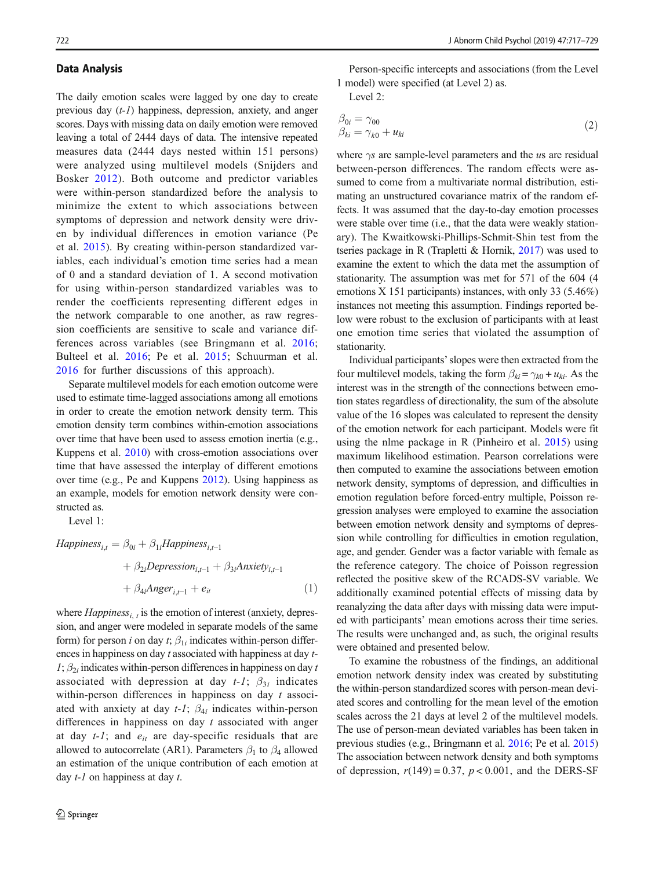#### <span id="page-5-0"></span>Data Analysis

The daily emotion scales were lagged by one day to create previous day (t-1) happiness, depression, anxiety, and anger scores. Days with missing data on daily emotion were removed leaving a total of 2444 days of data. The intensive repeated measures data (2444 days nested within 151 persons) were analyzed using multilevel models (Snijders and Bosker [2012](#page-12-0)). Both outcome and predictor variables were within-person standardized before the analysis to minimize the extent to which associations between symptoms of depression and network density were driven by individual differences in emotion variance (Pe et al. [2015](#page-12-0)). By creating within-person standardized variables, each individual's emotion time series had a mean of 0 and a standard deviation of 1. A second motivation for using within-person standardized variables was to render the coefficients representing different edges in the network comparable to one another, as raw regression coefficients are sensitive to scale and variance differences across variables (see Bringmann et al. [2016](#page-10-0); Bulteel et al. [2016](#page-10-0); Pe et al. [2015;](#page-12-0) Schuurman et al. [2016](#page-12-0) for further discussions of this approach).

Separate multilevel models for each emotion outcome were used to estimate time-lagged associations among all emotions in order to create the emotion network density term. This emotion density term combines within-emotion associations over time that have been used to assess emotion inertia (e.g., Kuppens et al. [2010\)](#page-11-0) with cross-emotion associations over time that have assessed the interplay of different emotions over time (e.g., Pe and Kuppens [2012\)](#page-12-0). Using happiness as an example, models for emotion network density were constructed as.

Level 1:

Happiness<sub>i,t</sub> = 
$$
\beta_{0i} + \beta_{1i}
$$
Happiness<sub>i,t-1</sub>  
+  $\beta_{2i}$ Depression<sub>i,t-1</sub> +  $\beta_{3i}$ Anxiety<sub>i,t-1</sub>  
+  $\beta_{4i}$ anger<sub>i,t-1</sub> +  $e_{it}$  (1)

where  $Happiness_{i,t}$  is the emotion of interest (anxiety, depression, and anger were modeled in separate models of the same form) for person *i* on day *t*;  $\beta_{1i}$  indicates within-person differences in happiness on day t associated with happiness at day t- $1; \beta_{2i}$  indicates within-person differences in happiness on day t associated with depression at day  $t-1$ ;  $\beta_{3i}$  indicates within-person differences in happiness on day  $t$  associated with anxiety at day  $t-1$ ;  $\beta_{4i}$  indicates within-person differences in happiness on day  $t$  associated with anger at day  $t-1$ ; and  $e_{it}$  are day-specific residuals that are allowed to autocorrelate (AR1). Parameters  $\beta_1$  to  $\beta_4$  allowed an estimation of the unique contribution of each emotion at day  $t-1$  on happiness at day  $t$ .

Person-specific intercepts and associations (from the Level 1 model) were specified (at Level 2) as.

Level 2:

$$
\begin{aligned} \beta_{0i} &= \gamma_{00} \\ \beta_{ki} &= \gamma_{k0} + u_{ki} \end{aligned} \tag{2}
$$

where  $\gamma s$  are sample-level parameters and the *us* are residual between-person differences. The random effects were assumed to come from a multivariate normal distribution, estimating an unstructured covariance matrix of the random effects. It was assumed that the day-to-day emotion processes were stable over time (i.e., that the data were weakly stationary). The Kwaitkowski-Phillips-Schmit-Shin test from the tseries package in R (Trapletti & Hornik, [2017](#page-12-0)) was used to examine the extent to which the data met the assumption of stationarity. The assumption was met for 571 of the 604 (4 emotions X 151 participants) instances, with only 33 (5.46%) instances not meeting this assumption. Findings reported below were robust to the exclusion of participants with at least one emotion time series that violated the assumption of stationarity.

Individual participants'slopes were then extracted from the four multilevel models, taking the form  $\beta_{ki} = \gamma_{k0} + u_{ki}$ . As the interest was in the strength of the connections between emotion states regardless of directionality, the sum of the absolute value of the 16 slopes was calculated to represent the density of the emotion network for each participant. Models were fit using the nlme package in R (Pinheiro et al. [2015\)](#page-12-0) using maximum likelihood estimation. Pearson correlations were then computed to examine the associations between emotion network density, symptoms of depression, and difficulties in emotion regulation before forced-entry multiple, Poisson regression analyses were employed to examine the association between emotion network density and symptoms of depression while controlling for difficulties in emotion regulation, age, and gender. Gender was a factor variable with female as the reference category. The choice of Poisson regression reflected the positive skew of the RCADS-SV variable. We additionally examined potential effects of missing data by reanalyzing the data after days with missing data were imputed with participants' mean emotions across their time series. The results were unchanged and, as such, the original results were obtained and presented below.

To examine the robustness of the findings, an additional emotion network density index was created by substituting the within-person standardized scores with person-mean deviated scores and controlling for the mean level of the emotion scales across the 21 days at level 2 of the multilevel models. The use of person-mean deviated variables has been taken in previous studies (e.g., Bringmann et al. [2016;](#page-10-0) Pe et al. [2015](#page-12-0)) The association between network density and both symptoms of depression,  $r(149) = 0.37$ ,  $p < 0.001$ , and the DERS-SF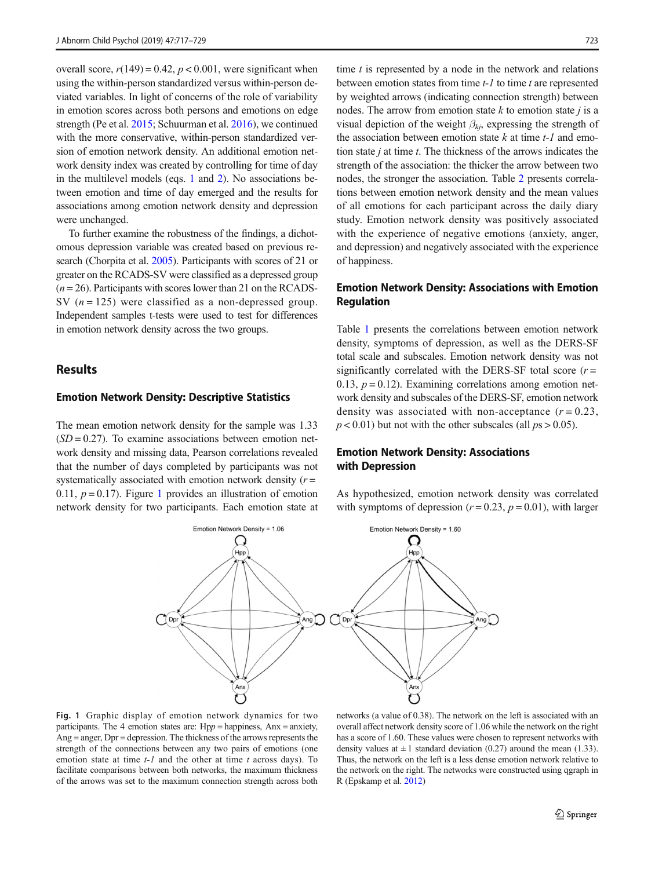overall score,  $r(149) = 0.42$ ,  $p < 0.001$ , were significant when using the within-person standardized versus within-person deviated variables. In light of concerns of the role of variability in emotion scores across both persons and emotions on edge strength (Pe et al. [2015;](#page-12-0) Schuurman et al. [2016\)](#page-12-0), we continued with the more conservative, within-person standardized version of emotion network density. An additional emotion network density index was created by controlling for time of day in the multilevel models (eqs. [1](#page-5-0) and [2\)](#page-5-0). No associations between emotion and time of day emerged and the results for associations among emotion network density and depression were unchanged.

To further examine the robustness of the findings, a dichotomous depression variable was created based on previous research (Chorpita et al. [2005](#page-11-0)). Participants with scores of 21 or greater on the RCADS-SV were classified as a depressed group  $(n = 26)$ . Participants with scores lower than 21 on the RCADS-SV  $(n = 125)$  were classified as a non-depressed group. Independent samples t-tests were used to test for differences in emotion network density across the two groups.

## **Results**

#### Emotion Network Density: Descriptive Statistics

The mean emotion network density for the sample was 1.33  $(SD = 0.27)$ . To examine associations between emotion network density and missing data, Pearson correlations revealed that the number of days completed by participants was not systematically associated with emotion network density  $(r =$ 0.11,  $p = 0.17$ ). Figure 1 provides an illustration of emotion network density for two participants. Each emotion state at

time  $t$  is represented by a node in the network and relations between emotion states from time  $t-1$  to time  $t$  are represented by weighted arrows (indicating connection strength) between nodes. The arrow from emotion state  $k$  to emotion state  $j$  is a visual depiction of the weight  $\beta_{ki}$ , expressing the strength of the association between emotion state  $k$  at time  $t-1$  and emotion state  $j$  at time  $t$ . The thickness of the arrows indicates the strength of the association: the thicker the arrow between two nodes, the stronger the association. Table [2](#page-7-0) presents correlations between emotion network density and the mean values of all emotions for each participant across the daily diary study. Emotion network density was positively associated with the experience of negative emotions (anxiety, anger, and depression) and negatively associated with the experience of happiness.

# Emotion Network Density: Associations with Emotion Regulation

Table [1](#page-4-0) presents the correlations between emotion network density, symptoms of depression, as well as the DERS-SF total scale and subscales. Emotion network density was not significantly correlated with the DERS-SF total score  $(r =$ 0.13,  $p = 0.12$ ). Examining correlations among emotion network density and subscales of the DERS-SF, emotion network density was associated with non-acceptance  $(r = 0.23)$ ,  $p < 0.01$ ) but not with the other subscales (all  $ps > 0.05$ ).

## Emotion Network Density: Associations with Depression

As hypothesized, emotion network density was correlated with symptoms of depression  $(r = 0.23, p = 0.01)$ , with larger



Fig. 1 Graphic display of emotion network dynamics for two participants. The 4 emotion states are:  $Hpp =$  happiness,  $Anx =$  anxiety, Ang = anger, Dpr = depression. The thickness of the arrows represents the strength of the connections between any two pairs of emotions (one emotion state at time  $t-1$  and the other at time  $t$  across days). To facilitate comparisons between both networks, the maximum thickness of the arrows was set to the maximum connection strength across both

networks (a value of 0.38). The network on the left is associated with an overall affect network density score of 1.06 while the network on the right has a score of 1.60. These values were chosen to represent networks with density values at  $\pm 1$  standard deviation (0.27) around the mean (1.33). Thus, the network on the left is a less dense emotion network relative to the network on the right. The networks were constructed using qgraph in R (Epskamp et al. [2012](#page-11-0))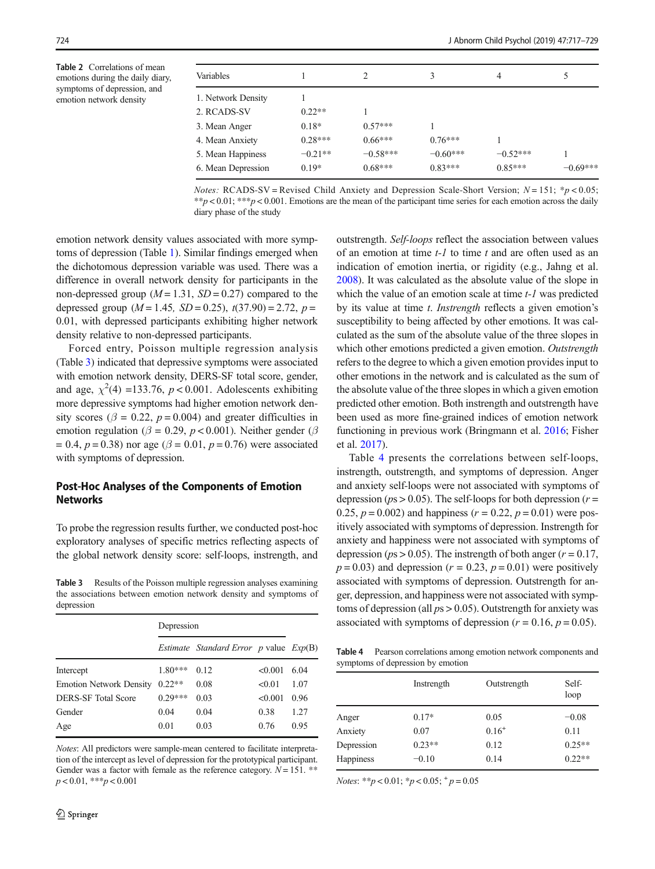<span id="page-7-0"></span>Table 2 Correlations of mean emotions during the daily diary, symptoms of depression, and emotion network density

| Variables          |           |            | 3          | 4          |            |
|--------------------|-----------|------------|------------|------------|------------|
| 1. Network Density |           |            |            |            |            |
| 2. RCADS-SV        | $0.22**$  |            |            |            |            |
| 3. Mean Anger      | $0.18*$   | $0.57***$  |            |            |            |
| 4. Mean Anxiety    | $0.28***$ | $0.66***$  | $0.76***$  |            |            |
| 5. Mean Happiness  | $-0.21**$ | $-0.58***$ | $-0.60***$ | $-0.52***$ |            |
| 6. Mean Depression | $0.19*$   | $0.68***$  | $0.83***$  | $0.85***$  | $-0.69***$ |
|                    |           |            |            |            |            |

*Notes:* RCADS-SV = Revised Child Anxiety and Depression Scale-Short Version;  $N = 151$ ;  $*p < 0.05$ ; \*\*p < 0.01; \*\*\*p < 0.001. Emotions are the mean of the participant time series for each emotion across the daily diary phase of the study

emotion network density values associated with more symptoms of depression (Table [1\)](#page-4-0). Similar findings emerged when the dichotomous depression variable was used. There was a difference in overall network density for participants in the non-depressed group  $(M = 1.31, SD = 0.27)$  compared to the depressed group ( $M = 1.45$ ,  $SD = 0.25$ ),  $t(37.90) = 2.72$ ,  $p =$ 0.01, with depressed participants exhibiting higher network density relative to non-depressed participants.

Forced entry, Poisson multiple regression analysis (Table 3) indicated that depressive symptoms were associated with emotion network density, DERS-SF total score, gender, and age,  $\chi^2(4) = 133.76$ ,  $p < 0.001$ . Adolescents exhibiting more depressive symptoms had higher emotion network density scores ( $\beta = 0.22$ ,  $p = 0.004$ ) and greater difficulties in emotion regulation ( $\beta = 0.29$ ,  $p < 0.001$ ). Neither gender ( $\beta$  $= 0.4, p = 0.38$ ) nor age ( $\beta = 0.01, p = 0.76$ ) were associated with symptoms of depression.

# Post-Hoc Analyses of the Components of Emotion **Networks**

To probe the regression results further, we conducted post-hoc exploratory analyses of specific metrics reflecting aspects of the global network density score: self-loops, instrength, and

Table 3 Results of the Poisson multiple regression analyses examining the associations between emotion network density and symptoms of depression

|                                | Depression |                                                            |         |      |
|--------------------------------|------------|------------------------------------------------------------|---------|------|
|                                |            | <i>Estimate Standard Error p value <math>Exp(B)</math></i> |         |      |
| Intercept                      | $1.80***$  | 0.12                                                       | < 0.001 | 6.04 |
| <b>Emotion Network Density</b> | $0.22**$   | 0.08                                                       | < 0.01  | 1.07 |
| <b>DERS-SF Total Score</b>     | $0.29***$  | 0.03                                                       | < 0.001 | 0.96 |
| Gender                         | 0.04       | 0.04                                                       | 0.38    | 1.27 |
| Age                            | 0.01       | 0.03                                                       | 0.76    | 0.95 |

Notes: All predictors were sample-mean centered to facilitate interpretation of the intercept as level of depression for the prototypical participant. Gender was a factor with female as the reference category.  $N = 151$ . \*\*  $p < 0.01$ , \*\*\* $p < 0.001$ 

outstrength. Self-loops reflect the association between values of an emotion at time  $t-1$  to time  $t$  and are often used as an indication of emotion inertia, or rigidity (e.g., Jahng et al. [2008\)](#page-11-0). It was calculated as the absolute value of the slope in which the value of an emotion scale at time  $t-1$  was predicted by its value at time *t. Instrength* reflects a given emotion's susceptibility to being affected by other emotions. It was calculated as the sum of the absolute value of the three slopes in which other emotions predicted a given emotion. Outstrength refers to the degree to which a given emotion provides input to other emotions in the network and is calculated as the sum of the absolute value of the three slopes in which a given emotion predicted other emotion. Both instrength and outstrength have been used as more fine-grained indices of emotion network functioning in previous work (Bringmann et al. [2016;](#page-10-0) Fisher et al. [2017](#page-11-0)).

Table 4 presents the correlations between self-loops, instrength, outstrength, and symptoms of depression. Anger and anxiety self-loops were not associated with symptoms of depression ( $p_s > 0.05$ ). The self-loops for both depression ( $r =$ 0.25,  $p = 0.002$ ) and happiness ( $r = 0.22$ ,  $p = 0.01$ ) were positively associated with symptoms of depression. Instrength for anxiety and happiness were not associated with symptoms of depression ( $ps > 0.05$ ). The instrength of both anger ( $r = 0.17$ ,  $p = 0.03$ ) and depression ( $r = 0.23$ ,  $p = 0.01$ ) were positively associated with symptoms of depression. Outstrength for anger, depression, and happiness were not associated with symptoms of depression (all  $ps > 0.05$ ). Outstrength for anxiety was associated with symptoms of depression ( $r = 0.16$ ,  $p = 0.05$ ).

Table 4 Pearson correlations among emotion network components and symptoms of depression by emotion

|            | Instrength | Outstrength | Self-<br>loop |
|------------|------------|-------------|---------------|
| Anger      | $0.17*$    | 0.05        | $-0.08$       |
| Anxiety    | 0.07       | $0.16^{+}$  | 0.11          |
| Depression | $0.23**$   | 0.12        | $0.25**$      |
| Happiness  | $-0.10$    | 0.14        | $0.22**$      |

Notes: \*\*p < 0.01; \*p < 0.05; \* p = 0.05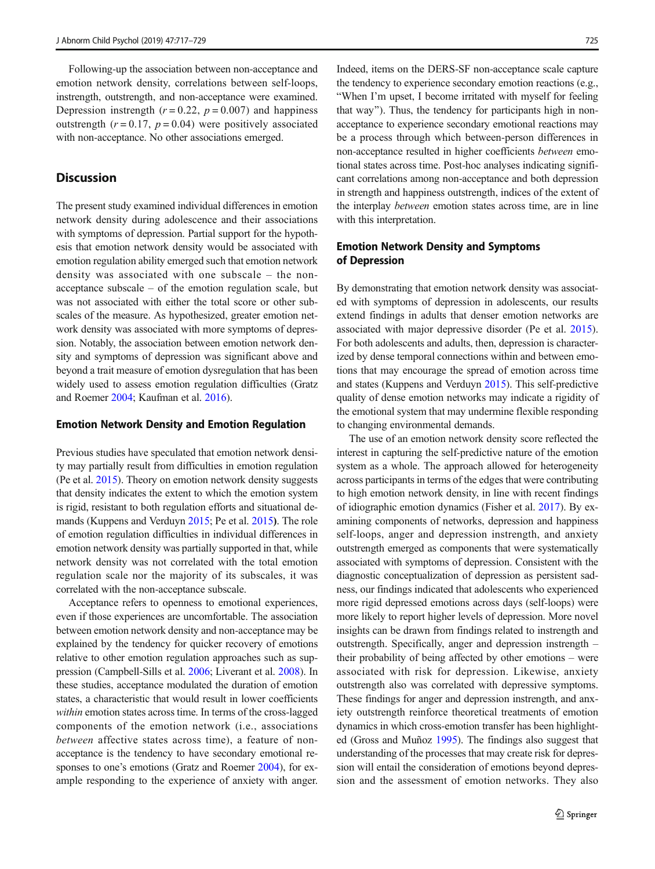Following-up the association between non-acceptance and emotion network density, correlations between self-loops, instrength, outstrength, and non-acceptance were examined. Depression instrength ( $r = 0.22$ ,  $p = 0.007$ ) and happiness outstrength  $(r = 0.17, p = 0.04)$  were positively associated with non-acceptance. No other associations emerged.

# **Discussion**

The present study examined individual differences in emotion network density during adolescence and their associations with symptoms of depression. Partial support for the hypothesis that emotion network density would be associated with emotion regulation ability emerged such that emotion network density was associated with one subscale – the nonacceptance subscale – of the emotion regulation scale, but was not associated with either the total score or other subscales of the measure. As hypothesized, greater emotion network density was associated with more symptoms of depression. Notably, the association between emotion network density and symptoms of depression was significant above and beyond a trait measure of emotion dysregulation that has been widely used to assess emotion regulation difficulties (Gratz and Roemer [2004;](#page-11-0) Kaufman et al. [2016\)](#page-11-0).

#### Emotion Network Density and Emotion Regulation

Previous studies have speculated that emotion network density may partially result from difficulties in emotion regulation (Pe et al. [2015\)](#page-12-0). Theory on emotion network density suggests that density indicates the extent to which the emotion system is rigid, resistant to both regulation efforts and situational demands (Kuppens and Verduyn [2015;](#page-11-0) Pe et al. [2015](#page-12-0)). The role of emotion regulation difficulties in individual differences in emotion network density was partially supported in that, while network density was not correlated with the total emotion regulation scale nor the majority of its subscales, it was correlated with the non-acceptance subscale.

Acceptance refers to openness to emotional experiences, even if those experiences are uncomfortable. The association between emotion network density and non-acceptance may be explained by the tendency for quicker recovery of emotions relative to other emotion regulation approaches such as suppression (Campbell-Sills et al. [2006;](#page-10-0) Liverant et al. [2008\)](#page-12-0). In these studies, acceptance modulated the duration of emotion states, a characteristic that would result in lower coefficients within emotion states across time. In terms of the cross-lagged components of the emotion network (i.e., associations between affective states across time), a feature of nonacceptance is the tendency to have secondary emotional responses to one's emotions (Gratz and Roemer [2004](#page-11-0)), for example responding to the experience of anxiety with anger.

Indeed, items on the DERS-SF non-acceptance scale capture the tendency to experience secondary emotion reactions (e.g., "When I'm upset, I become irritated with myself for feeling that way^). Thus, the tendency for participants high in nonacceptance to experience secondary emotional reactions may be a process through which between-person differences in non-acceptance resulted in higher coefficients between emotional states across time. Post-hoc analyses indicating significant correlations among non-acceptance and both depression in strength and happiness outstrength, indices of the extent of the interplay between emotion states across time, are in line with this interpretation.

# Emotion Network Density and Symptoms of Depression

By demonstrating that emotion network density was associated with symptoms of depression in adolescents, our results extend findings in adults that denser emotion networks are associated with major depressive disorder (Pe et al. [2015\)](#page-12-0). For both adolescents and adults, then, depression is characterized by dense temporal connections within and between emotions that may encourage the spread of emotion across time and states (Kuppens and Verduyn [2015](#page-11-0)). This self-predictive quality of dense emotion networks may indicate a rigidity of the emotional system that may undermine flexible responding to changing environmental demands.

The use of an emotion network density score reflected the interest in capturing the self-predictive nature of the emotion system as a whole. The approach allowed for heterogeneity across participants in terms of the edges that were contributing to high emotion network density, in line with recent findings of idiographic emotion dynamics (Fisher et al. [2017](#page-11-0)). By examining components of networks, depression and happiness self-loops, anger and depression instrength, and anxiety outstrength emerged as components that were systematically associated with symptoms of depression. Consistent with the diagnostic conceptualization of depression as persistent sadness, our findings indicated that adolescents who experienced more rigid depressed emotions across days (self-loops) were more likely to report higher levels of depression. More novel insights can be drawn from findings related to instrength and outstrength. Specifically, anger and depression instrength – their probability of being affected by other emotions – were associated with risk for depression. Likewise, anxiety outstrength also was correlated with depressive symptoms. These findings for anger and depression instrength, and anxiety outstrength reinforce theoretical treatments of emotion dynamics in which cross-emotion transfer has been highlighted (Gross and Muñoz [1995\)](#page-11-0). The findings also suggest that understanding of the processes that may create risk for depression will entail the consideration of emotions beyond depression and the assessment of emotion networks. They also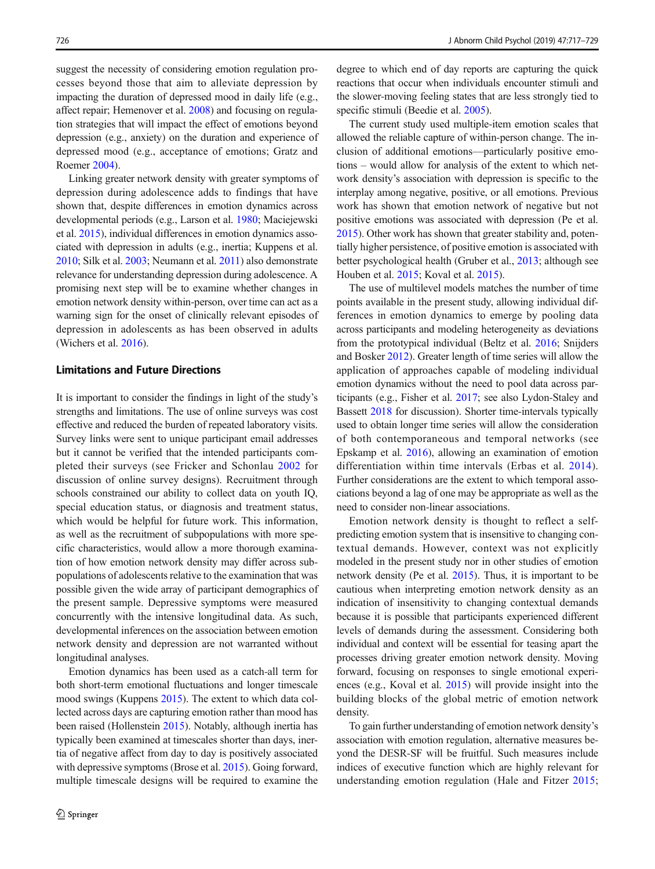suggest the necessity of considering emotion regulation processes beyond those that aim to alleviate depression by impacting the duration of depressed mood in daily life (e.g., affect repair; Hemenover et al. [2008](#page-11-0)) and focusing on regulation strategies that will impact the effect of emotions beyond depression (e.g., anxiety) on the duration and experience of depressed mood (e.g., acceptance of emotions; Gratz and Roemer [2004\)](#page-11-0).

Linking greater network density with greater symptoms of depression during adolescence adds to findings that have shown that, despite differences in emotion dynamics across developmental periods (e.g., Larson et al. [1980](#page-12-0); Maciejewski et al. [2015\)](#page-12-0), individual differences in emotion dynamics associated with depression in adults (e.g., inertia; Kuppens et al. [2010;](#page-11-0) Silk et al. [2003;](#page-12-0) Neumann et al. [2011\)](#page-12-0) also demonstrate relevance for understanding depression during adolescence. A promising next step will be to examine whether changes in emotion network density within-person, over time can act as a warning sign for the onset of clinically relevant episodes of depression in adolescents as has been observed in adults (Wichers et al. [2016\)](#page-12-0).

#### Limitations and Future Directions

It is important to consider the findings in light of the study's strengths and limitations. The use of online surveys was cost effective and reduced the burden of repeated laboratory visits. Survey links were sent to unique participant email addresses but it cannot be verified that the intended participants completed their surveys (see Fricker and Schonlau [2002](#page-11-0) for discussion of online survey designs). Recruitment through schools constrained our ability to collect data on youth IQ, special education status, or diagnosis and treatment status, which would be helpful for future work. This information, as well as the recruitment of subpopulations with more specific characteristics, would allow a more thorough examination of how emotion network density may differ across subpopulations of adolescents relative to the examination that was possible given the wide array of participant demographics of the present sample. Depressive symptoms were measured concurrently with the intensive longitudinal data. As such, developmental inferences on the association between emotion network density and depression are not warranted without longitudinal analyses.

Emotion dynamics has been used as a catch-all term for both short-term emotional fluctuations and longer timescale mood swings (Kuppens [2015](#page-11-0)). The extent to which data collected across days are capturing emotion rather than mood has been raised (Hollenstein [2015\)](#page-11-0). Notably, although inertia has typically been examined at timescales shorter than days, inertia of negative affect from day to day is positively associated with depressive symptoms (Brose et al. [2015](#page-10-0)). Going forward, multiple timescale designs will be required to examine the degree to which end of day reports are capturing the quick reactions that occur when individuals encounter stimuli and the slower-moving feeling states that are less strongly tied to specific stimuli (Beedie et al. [2005\)](#page-10-0).

The current study used multiple-item emotion scales that allowed the reliable capture of within-person change. The inclusion of additional emotions—particularly positive emotions – would allow for analysis of the extent to which network density's association with depression is specific to the interplay among negative, positive, or all emotions. Previous work has shown that emotion network of negative but not positive emotions was associated with depression (Pe et al. [2015\)](#page-12-0). Other work has shown that greater stability and, potentially higher persistence, of positive emotion is associated with better psychological health (Gruber et al., [2013;](#page-11-0) although see Houben et al. [2015;](#page-11-0) Koval et al. [2015\)](#page-11-0).

The use of multilevel models matches the number of time points available in the present study, allowing individual differences in emotion dynamics to emerge by pooling data across participants and modeling heterogeneity as deviations from the prototypical individual (Beltz et al. [2016](#page-10-0); Snijders and Bosker [2012\)](#page-12-0). Greater length of time series will allow the application of approaches capable of modeling individual emotion dynamics without the need to pool data across participants (e.g., Fisher et al. [2017](#page-11-0); see also Lydon-Staley and Bassett [2018](#page-12-0) for discussion). Shorter time-intervals typically used to obtain longer time series will allow the consideration of both contemporaneous and temporal networks (see Epskamp et al. [2016](#page-11-0)), allowing an examination of emotion differentiation within time intervals (Erbas et al. [2014](#page-11-0)). Further considerations are the extent to which temporal associations beyond a lag of one may be appropriate as well as the need to consider non-linear associations.

Emotion network density is thought to reflect a selfpredicting emotion system that is insensitive to changing contextual demands. However, context was not explicitly modeled in the present study nor in other studies of emotion network density (Pe et al. [2015](#page-12-0)). Thus, it is important to be cautious when interpreting emotion network density as an indication of insensitivity to changing contextual demands because it is possible that participants experienced different levels of demands during the assessment. Considering both individual and context will be essential for teasing apart the processes driving greater emotion network density. Moving forward, focusing on responses to single emotional experiences (e.g., Koval et al. [2015](#page-11-0)) will provide insight into the building blocks of the global metric of emotion network density.

To gain further understanding of emotion network density's association with emotion regulation, alternative measures beyond the DESR-SF will be fruitful. Such measures include indices of executive function which are highly relevant for understanding emotion regulation (Hale and Fitzer [2015;](#page-11-0)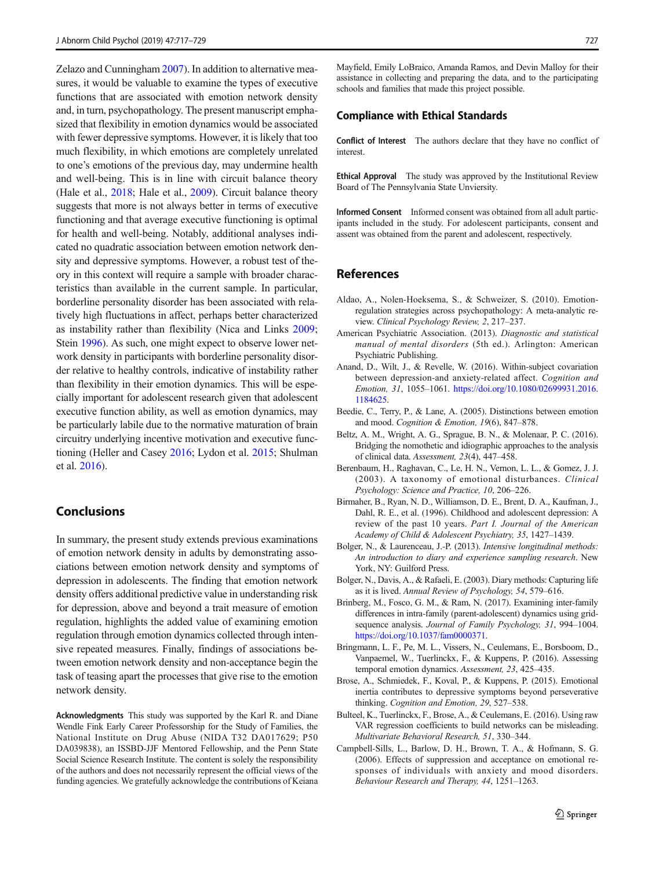<span id="page-10-0"></span>Zelazo and Cunningham [2007](#page-12-0)). In addition to alternative measures, it would be valuable to examine the types of executive functions that are associated with emotion network density and, in turn, psychopathology. The present manuscript emphasized that flexibility in emotion dynamics would be associated with fewer depressive symptoms. However, it is likely that too much flexibility, in which emotions are completely unrelated to one's emotions of the previous day, may undermine health and well-being. This is in line with circuit balance theory (Hale et al., [2018](#page-11-0); Hale et al., [2009\)](#page-11-0). Circuit balance theory suggests that more is not always better in terms of executive functioning and that average executive functioning is optimal for health and well-being. Notably, additional analyses indicated no quadratic association between emotion network density and depressive symptoms. However, a robust test of theory in this context will require a sample with broader characteristics than available in the current sample. In particular, borderline personality disorder has been associated with relatively high fluctuations in affect, perhaps better characterized as instability rather than flexibility (Nica and Links [2009](#page-12-0); Stein [1996\)](#page-12-0). As such, one might expect to observe lower network density in participants with borderline personality disorder relative to healthy controls, indicative of instability rather than flexibility in their emotion dynamics. This will be especially important for adolescent research given that adolescent executive function ability, as well as emotion dynamics, may be particularly labile due to the normative maturation of brain circuitry underlying incentive motivation and executive functioning (Heller and Casey [2016](#page-11-0); Lydon et al. [2015;](#page-12-0) Shulman et al. [2016](#page-12-0)).

# Conclusions

In summary, the present study extends previous examinations of emotion network density in adults by demonstrating associations between emotion network density and symptoms of depression in adolescents. The finding that emotion network density offers additional predictive value in understanding risk for depression, above and beyond a trait measure of emotion regulation, highlights the added value of examining emotion regulation through emotion dynamics collected through intensive repeated measures. Finally, findings of associations between emotion network density and non-acceptance begin the task of teasing apart the processes that give rise to the emotion network density.

Acknowledgments This study was supported by the Karl R. and Diane Wendle Fink Early Career Professorship for the Study of Families, the National Institute on Drug Abuse (NIDA T32 DA017629; P50 DA039838), an ISSBD-JJF Mentored Fellowship, and the Penn State Social Science Research Institute. The content is solely the responsibility of the authors and does not necessarily represent the official views of the funding agencies. We gratefully acknowledge the contributions of Keiana Mayfield, Emily LoBraico, Amanda Ramos, and Devin Malloy for their assistance in collecting and preparing the data, and to the participating schools and families that made this project possible.

#### Compliance with Ethical Standards

Conflict of Interest The authors declare that they have no conflict of interest.

Ethical Approval The study was approved by the Institutional Review Board of The Pennsylvania State Unviersity.

Informed Consent Informed consent was obtained from all adult participants included in the study. For adolescent participants, consent and assent was obtained from the parent and adolescent, respectively.

## References

- Aldao, A., Nolen-Hoeksema, S., & Schweizer, S. (2010). Emotionregulation strategies across psychopathology: A meta-analytic review. Clinical Psychology Review, 2, 217–237.
- American Psychiatric Association. (2013). Diagnostic and statistical manual of mental disorders (5th ed.). Arlington: American Psychiatric Publishing.
- Anand, D., Wilt, J., & Revelle, W. (2016). Within-subject covariation between depression-and anxiety-related affect. Cognition and Emotion, 31, 1055–1061. [https://doi.org/10.1080/02699931.2016.](https://doi.org/10.1080/02699931.2016.1184625) [1184625.](https://doi.org/10.1080/02699931.2016.1184625)
- Beedie, C., Terry, P., & Lane, A. (2005). Distinctions between emotion and mood. Cognition & Emotion, 19(6), 847–878.
- Beltz, A. M., Wright, A. G., Sprague, B. N., & Molenaar, P. C. (2016). Bridging the nomothetic and idiographic approaches to the analysis of clinical data. Assessment, 23(4), 447–458.
- Berenbaum, H., Raghavan, C., Le, H. N., Vernon, L. L., & Gomez, J. J. (2003). A taxonomy of emotional disturbances. Clinical Psychology: Science and Practice, 10, 206–226.
- Birmaher, B., Ryan, N. D., Williamson, D. E., Brent, D. A., Kaufman, J., Dahl, R. E., et al. (1996). Childhood and adolescent depression: A review of the past 10 years. Part I. Journal of the American Academy of Child & Adolescent Psychiatry, 35, 1427–1439.
- Bolger, N., & Laurenceau, J.-P. (2013). Intensive longitudinal methods: An introduction to diary and experience sampling research. New York, NY: Guilford Press.
- Bolger, N., Davis, A., & Rafaeli, E. (2003). Diary methods: Capturing life as it is lived. Annual Review of Psychology, 54, 579–616.
- Brinberg, M., Fosco, G. M., & Ram, N. (2017). Examining inter-family differences in intra-family (parent-adolescent) dynamics using gridsequence analysis. Journal of Family Psychology, 31, 994-1004. [https://doi.org/10.1037/fam0000371.](https://doi.org/10.1037/fam0000371)
- Bringmann, L. F., Pe, M. L., Vissers, N., Ceulemans, E., Borsboom, D., Vanpaemel, W., Tuerlinckx, F., & Kuppens, P. (2016). Assessing temporal emotion dynamics. Assessment, 23, 425–435.
- Brose, A., Schmiedek, F., Koval, P., & Kuppens, P. (2015). Emotional inertia contributes to depressive symptoms beyond perseverative thinking. Cognition and Emotion, 29, 527–538.
- Bulteel, K., Tuerlinckx, F., Brose, A., & Ceulemans, E. (2016). Using raw VAR regression coefficients to build networks can be misleading. Multivariate Behavioral Research, 51, 330–344.
- Campbell-Sills, L., Barlow, D. H., Brown, T. A., & Hofmann, S. G. (2006). Effects of suppression and acceptance on emotional responses of individuals with anxiety and mood disorders. Behaviour Research and Therapy, 44, 1251–1263.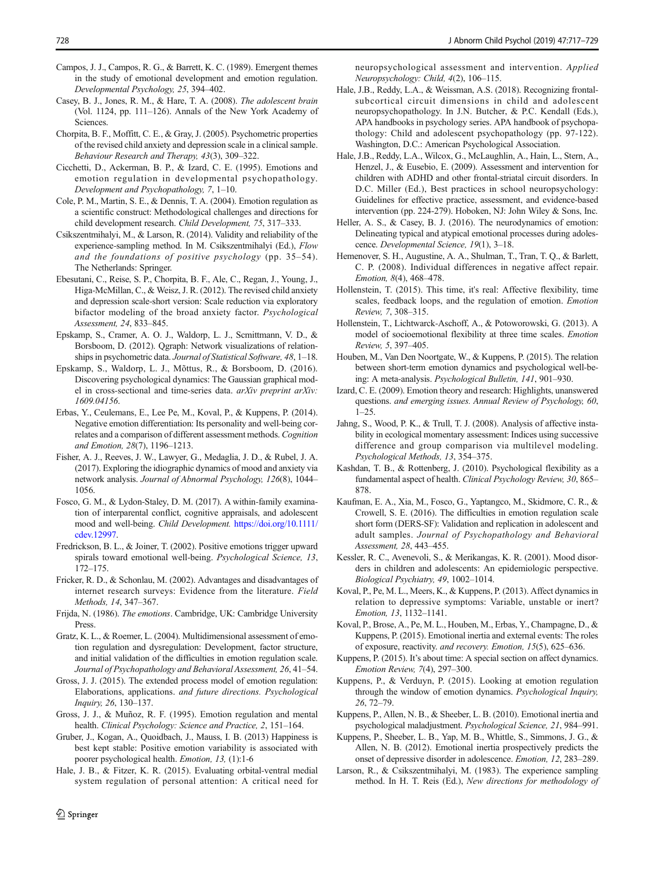- <span id="page-11-0"></span>Campos, J. J., Campos, R. G., & Barrett, K. C. (1989). Emergent themes in the study of emotional development and emotion regulation. Developmental Psychology, 25, 394–402.
- Casey, B. J., Jones, R. M., & Hare, T. A. (2008). The adolescent brain (Vol. 1124, pp. 111–126). Annals of the New York Academy of Sciences.
- Chorpita, B. F., Moffitt, C. E., & Gray, J. (2005). Psychometric properties of the revised child anxiety and depression scale in a clinical sample. Behaviour Research and Therapy, 43(3), 309–322.
- Cicchetti, D., Ackerman, B. P., & Izard, C. E. (1995). Emotions and emotion regulation in developmental psychopathology. Development and Psychopathology, 7, 1–10.
- Cole, P. M., Martin, S. E., & Dennis, T. A. (2004). Emotion regulation as a scientific construct: Methodological challenges and directions for child development research. Child Development, 75, 317–333.
- Csikszentmihalyi, M., & Larson, R. (2014). Validity and reliability of the experience-sampling method. In M. Csikszentmihalyi (Ed.), Flow and the foundations of positive psychology (pp. 35–54). The Netherlands: Springer.
- Ebesutani, C., Reise, S. P., Chorpita, B. F., Ale, C., Regan, J., Young, J., Higa-McMillan, C., & Weisz, J. R. (2012). The revised child anxiety and depression scale-short version: Scale reduction via exploratory bifactor modeling of the broad anxiety factor. Psychological Assessment, 24, 833–845.
- Epskamp, S., Cramer, A. O. J., Waldorp, L. J., Scmittmann, V. D., & Borsboom, D. (2012). Qgraph: Network visualizations of relationships in psychometric data. Journal of Statistical Software, 48, 1–18.
- Epskamp, S., Waldorp, L. J., Mõttus, R., & Borsboom, D. (2016). Discovering psychological dynamics: The Gaussian graphical model in cross-sectional and time-series data. arXiv preprint arXiv: 1609.04156.
- Erbas, Y., Ceulemans, E., Lee Pe, M., Koval, P., & Kuppens, P. (2014). Negative emotion differentiation: Its personality and well-being correlates and a comparison of different assessment methods. Cognition and Emotion, 28(7), 1196–1213.
- Fisher, A. J., Reeves, J. W., Lawyer, G., Medaglia, J. D., & Rubel, J. A. (2017). Exploring the idiographic dynamics of mood and anxiety via network analysis. Journal of Abnormal Psychology, 126(8), 1044– 1056.
- Fosco, G. M., & Lydon-Staley, D. M. (2017). A within-family examination of interparental conflict, cognitive appraisals, and adolescent mood and well-being. Child Development. [https://doi.org/10.1111/](https://doi.org/10.1111/cdev.12997) [cdev.12997.](https://doi.org/10.1111/cdev.12997)
- Fredrickson, B. L., & Joiner, T. (2002). Positive emotions trigger upward spirals toward emotional well-being. Psychological Science, 13, 172–175.
- Fricker, R. D., & Schonlau, M. (2002). Advantages and disadvantages of internet research surveys: Evidence from the literature. Field Methods, 14, 347–367.
- Frijda, N. (1986). The emotions. Cambridge, UK: Cambridge University Press.
- Gratz, K. L., & Roemer, L. (2004). Multidimensional assessment of emotion regulation and dysregulation: Development, factor structure, and initial validation of the difficulties in emotion regulation scale. Journal of Psychopathology and Behavioral Assessment, 26, 41–54.
- Gross, J. J. (2015). The extended process model of emotion regulation: Elaborations, applications. and future directions. Psychological Inquiry, 26, 130–137.
- Gross, J. J., & Muñoz, R. F. (1995). Emotion regulation and mental health. Clinical Psychology: Science and Practice, 2, 151-164.
- Gruber, J., Kogan, A., Quoidbach, J., Mauss, I. B. (2013) Happiness is best kept stable: Positive emotion variability is associated with poorer psychological health. Emotion, 13, (1):1-6
- Hale, J. B., & Fitzer, K. R. (2015). Evaluating orbital-ventral medial system regulation of personal attention: A critical need for

neuropsychological assessment and intervention. Applied Neuropsychology: Child, 4(2), 106–115.

- Hale, J.B., Reddy, L.A., & Weissman, A.S. (2018). Recognizing frontalsubcortical circuit dimensions in child and adolescent neuropsychopathology. In J.N. Butcher, & P.C. Kendall (Eds.), APA handbooks in psychology series. APA handbook of psychopathology: Child and adolescent psychopathology (pp. 97-122). Washington, D.C.: American Psychological Association.
- Hale, J.B., Reddy, L.A., Wilcox, G., McLaughlin, A., Hain, L., Stern, A., Henzel, J., & Eusebio, E. (2009). Assessment and intervention for children with ADHD and other frontal-striatal circuit disorders. In D.C. Miller (Ed.), Best practices in school neuropsychology: Guidelines for effective practice, assessment, and evidence-based intervention (pp. 224-279). Hoboken, NJ: John Wiley & Sons, Inc.
- Heller, A. S., & Casey, B. J. (2016). The neurodynamics of emotion: Delineating typical and atypical emotional processes during adolescence. Developmental Science, 19(1), 3–18.
- Hemenover, S. H., Augustine, A. A., Shulman, T., Tran, T. Q., & Barlett, C. P. (2008). Individual differences in negative affect repair. Emotion, 8(4), 468–478.
- Hollenstein, T. (2015). This time, it's real: Affective flexibility, time scales, feedback loops, and the regulation of emotion. Emotion Review, 7, 308–315.
- Hollenstein, T., Lichtwarck-Aschoff, A., & Potoworowski, G. (2013). A model of socioemotional flexibility at three time scales. Emotion Review, 5, 397–405.
- Houben, M., Van Den Noortgate, W., & Kuppens, P. (2015). The relation between short-term emotion dynamics and psychological well-being: A meta-analysis. Psychological Bulletin, 141, 901–930.
- Izard, C. E. (2009). Emotion theory and research: Highlights, unanswered questions. and emerging issues. Annual Review of Psychology, 60,  $1 - 25$ .
- Jahng, S., Wood, P. K., & Trull, T. J. (2008). Analysis of affective instability in ecological momentary assessment: Indices using successive difference and group comparison via multilevel modeling. Psychological Methods, 13, 354–375.
- Kashdan, T. B., & Rottenberg, J. (2010). Psychological flexibility as a fundamental aspect of health. Clinical Psychology Review, 30, 865– 878.
- Kaufman, E. A., Xia, M., Fosco, G., Yaptangco, M., Skidmore, C. R., & Crowell, S. E. (2016). The difficulties in emotion regulation scale short form (DERS-SF): Validation and replication in adolescent and adult samples. Journal of Psychopathology and Behavioral Assessment, 28, 443–455.
- Kessler, R. C., Avenevoli, S., & Merikangas, K. R. (2001). Mood disorders in children and adolescents: An epidemiologic perspective. Biological Psychiatry, 49, 1002–1014.
- Koval, P., Pe, M. L., Meers, K., & Kuppens, P. (2013). Affect dynamics in relation to depressive symptoms: Variable, unstable or inert? Emotion, 13, 1132–1141.
- Koval, P., Brose, A., Pe, M. L., Houben, M., Erbas, Y., Champagne, D., & Kuppens, P. (2015). Emotional inertia and external events: The roles of exposure, reactivity. and recovery. Emotion, 15(5), 625–636.
- Kuppens, P. (2015). It's about time: A special section on affect dynamics. Emotion Review, 7(4), 297–300.
- Kuppens, P., & Verduyn, P. (2015). Looking at emotion regulation through the window of emotion dynamics. Psychological Inquiry, 26, 72–79.
- Kuppens, P., Allen, N. B., & Sheeber, L. B. (2010). Emotional inertia and psychological maladjustment. Psychological Science, 21, 984–991.
- Kuppens, P., Sheeber, L. B., Yap, M. B., Whittle, S., Simmons, J. G., & Allen, N. B. (2012). Emotional inertia prospectively predicts the onset of depressive disorder in adolescence. Emotion, 12, 283–289.
- Larson, R., & Csikszentmihalyi, M. (1983). The experience sampling method. In H. T. Reis (Ed.), New directions for methodology of